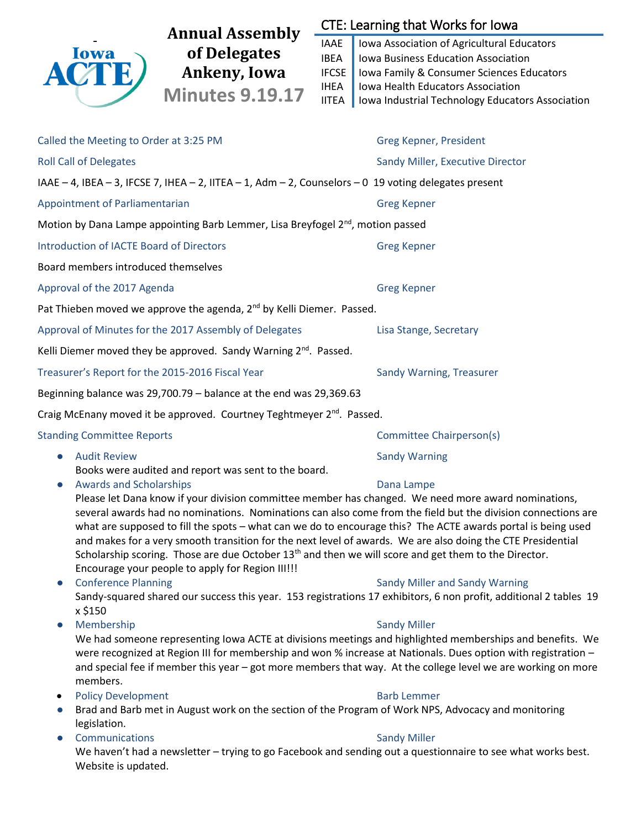

# We haven't had a newsletter – trying to go Facebook and sending out a questionnaire to see what works best. Website is updated.